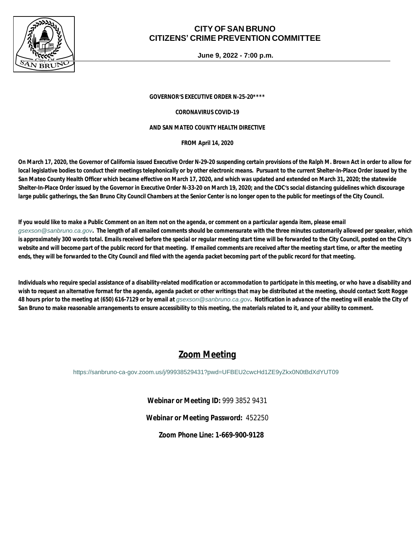

### **CITY OF SAN BRUNO CITIZENS' CRIME PREVENTION COMMITTEE**

**June 9, 2022 - 7:00 p.m.**

*GOVERNOR'S EXECUTIVE ORDER N-25-20\*\*\*\**

*CORONAVIRUS COVID-19*

#### *AND SAN MATEO COUNTY HEALTH DIRECTIVE*

*FROM April 14, 2020*

*On March 17, 2020, the Governor of California issued Executive Order N-29-20 suspending certain provisions of the Ralph M. Brown Act in order to allow for local legislative bodies to conduct their meetings telephonically or by other electronic means. Pursuant to the current Shelter-In-Place Order issued by the San Mateo County Health Officer which became effective on March 17, 2020, and which was updated and extended on March 31, 2020; the statewide Shelter-In-Place Order issued by the Governor in Executive Order N-33-20 on March 19, 2020; and the CDC's social distancing guidelines which discourage*  large public gatherings, the San Bruno City Council Chambers at the Senior Center is no longer open to the public for meetings of the City Council.

*If you would like to make a Public Comment on an item not on the agenda, or comment on a particular agenda item, please email [gsexson@sanbruno.ca.gov](mailto:gsexson@sanbruno.ca.gov). The length of all emailed comments should be commensurate with the three minutes customarily allowed per speaker, which is approximately 300 words total. Emails received before the special or regular meeting start time will be forwarded to the City Council, posted on the City's*  website and will become part of the public record for that meeting. If emailed comments are received after the meeting start time, or after the meeting *ends, they will be forwarded to the City Council and filed with the agenda packet becoming part of the public record for that meeting.* 

*Individuals who require special assistance of a disability-related modification or accommodation to participate in this meeting, or who have a disability and wish to request an alternative format for the agenda, agenda packet or other writings that may be distributed at the meeting, should contact Scott Rogge 48 hours prior to the meeting at (650) 616-7129 or by email at [gsexson@sanbruno.ca.gov](mailto:gsexson@sanbruno.ca.gov). Notification in advance of the meeting will enable the City of San Bruno to make reasonable arrangements to ensure accessibility to this meeting, the materials related to it, and your ability to comment.*

# *Zoom Meeting*

<https://sanbruno-ca-gov.zoom.us/j/99938529431?pwd=UFBEU2cwcHd1ZE9yZkx0N0tBdXdYUT09>

*Webinar or Meeting ID:* 999 3852 9431

*Webinar or Meeting Password:* 452250

*Zoom Phone Line:* **1-669-900-9128**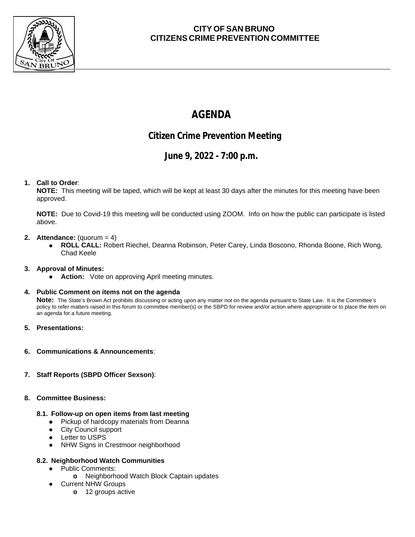

## **CITY OF SAN BRUNO CITIZENS CRIME PREVENTION COMMITTEE**

# **AGENDA**

# **Citizen Crime Prevention Meeting**

# **June 9, 2022 - 7:00 p.m.**

#### **1. Call to Order**:

**NOTE:** This meeting will be taped, which will be kept at least 30 days after the minutes for this meeting have been approved.

**NOTE:** Due to Covid-19 this meeting will be conducted using ZOOM. Info on how the public can participate is listed above.

#### **2. Attendance:** (quorum = 4)

● **ROLL CALL:** Robert Riechel, Deanna Robinson, Peter Carey, Linda Boscono, Rhonda Boone, Rich Wong, Chad Keele

#### **3. Approval of Minutes:**

● **Action:** Vote on approving April meeting minutes.

#### **4. Public Comment on items not on the agenda**

**Note:** The State's Brown Act prohibits discussing or acting upon any matter not on the agenda pursuant to State Law. It is the Committee's policy to refer matters raised in this forum to committee member(s) or the SBPD for review and/or action where appropriate or to place the item on an agenda for a future meeting.

- **5. Presentations:**
- **6. Communications & Announcements**:
- **7. Staff Reports (SBPD Officer Sexson)**:

#### **8. Committee Business:**

#### **8.1. Follow-up on open items from last meeting**

- Pickup of hardcopy materials from Deanna
- City Council support
- Letter to USPS
- NHW Signs in Crestmoor neighborhood

#### **8.2. Neighborhood Watch Communities**

- Public Comments:
	- **o** Neighborhood Watch Block Captain updates
	- **Current NHW Groups** 
		- **o** 12 groups active